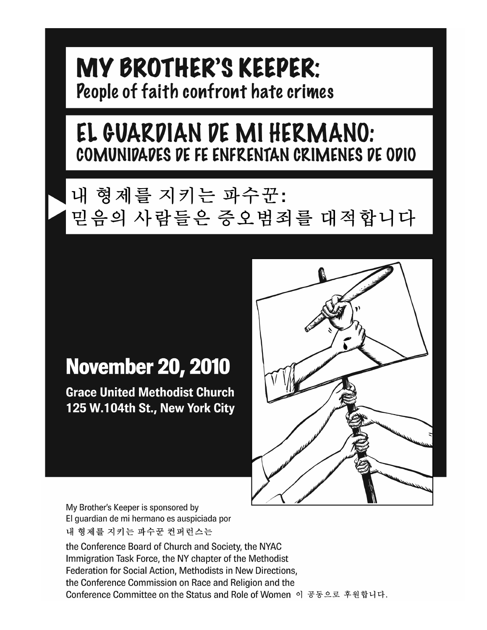# MY BROTHER'S KEEPER: People of faith confront hate crimes

# EL GUARDIAN DE MI HERMANO: COMUNIDADES DE FE ENFRENTAN CRIMENES DE ODIO

# 내 형제를 지키는 파수꾼: 믿음의 사람들은 증오범죄를 대적합니다

# **November 20, 2010**

**Grace United Methodist Church** 125 W.104th St., New York City



My Brother's Keeper is sponsored by El quardian de mi hermano es auspiciada por 내 형제를 지키는 파수꾼 컨퍼런스는

the Conference Board of Church and Society, the NYAC Immigration Task Force, the NY chapter of the Methodist Federation for Social Action, Methodists in New Directions, the Conference Commission on Race and Religion and the Conference Committee on the Status and Role of Women 이 공동으로 후원합니다.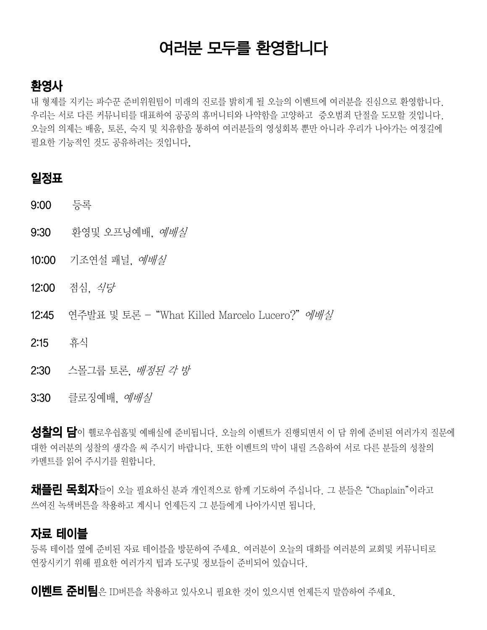# 여러분 모두를 환영합니다

### 환영사

내 형제를 지키는 파수꾼 준비위원팀이 미래의 진로를 밝히게 될 오늘의 이벤트에 여러분을 진심으로 환영합니다. 우리는 서로 다른 커뮤니티를 대표하여 공공의 휴머니티와 나약함을 고양하고 증오범죄 단절을 도모할 것입니다. 오늘의 의제는 배움, 토론, 숙지 및 치유함을 통하여 여러분들의 영성회복 뿐만 아니라 우리가 나아가는 여정길에 필요한 기능적인 것도 공유하려는 것입니다.

#### 일정표

- 9:00 등록
- **9:30** 환영및 오프닝예배, *예배실*
- 10:00 기조연설 패널, *예배실*
- 12:00 점심, 식당
- 12:45 연주발표 및 토론 "What Killed Marcelo Lucero?" 에배실
- 2:15 휴식
- 2:30 스몰그룹 토론, 배정된 각 방
- **3:30** 클로징예배, *예배실*

성찰의 담이 휄로우쉽홀및 예배실에 준비됩니다. 오늘의 이벤트가 진행되면서 이 담 위에 준비된 여러가지 질문에 대한 여러분의 성찰의 생각을 써 주시기 바랍니다. 또한 이벤트의 막이 내릴 즈음하여 서로 다른 분들의 성찰의 카멘트를 읽어 주시기를 원합니다.

채플린 목회자들이 오늘 필요하신 분과 개인적으로 함께 기도하여 주십니다. 그 분들은 "Chaplain"이라고 쓰여진 녹색버튼을 착용하고 계시니 언제든지 그 분들에게 나아가시면 됩니다.

#### 자료 테이블

등록 테이블 옆에 준비된 자료 테이블을 방문하여 주세요. 여러분이 오늘의 대화를 여러분의 교회및 커뮤니티로 연장시키기 위해 필요한 여러가지 팁과 도구및 정보들이 준비되어 있습니다.

이벤트 준비팀은 ID버튼을 착용하고 있사오니 필요한 것이 있으시면 언제든지 말씀하여 주세요.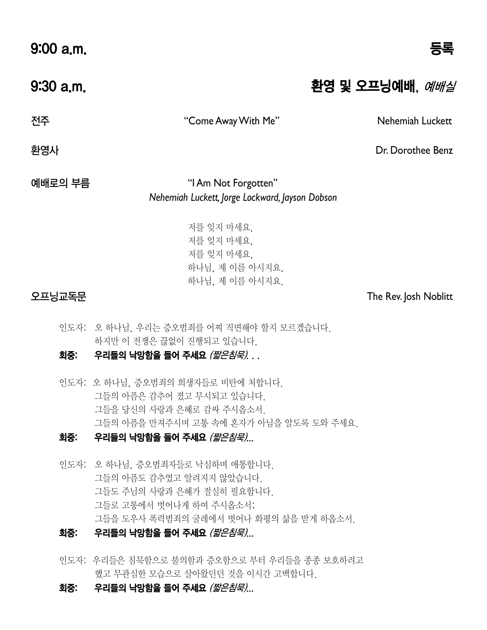$9:00$  a.m.

9:30 a.m. 2000 - 2000 - 2000 - 2000 - 2000 원영 및 오프닝예배, *예배실* 

전주 "Come Away With Me" Nehemiah Luckett

환영사 Dr. Dorothee Benz

예배로의 부름 "I Am Not Forgotten" *Nehemiah Luckett, Jorge Lockward, Jayson Dobson*

> 저를 잊지 마세요, 저를 잊지 마세요, 저를 잊지 마세요, 하나님, 제 이름 아시지요, 하나님, 제 이름 아시지요.

오프닝교독문 The Rev. Josh Noblitt

인도자: 오 하나님, 우리는 증오범죄를 어찌 직면해야 할지 모르겠습니다. 하지만 이 전쟁은 끊없이 진행되고 있습니다.

#### 회중: 우리들의 낙망함을 들어 주세요 (짧은침묵)...

인도자: 오 하나님, 증오범죄의 희생자들로 비탄에 처합니다. 그들의 아픔은 감추어 졌고 무시되고 있습니다. 그들을 당신의 사랑과 은혜로 감싸 주시옵소서. 그들의 아픔을 만져주시며 고통 속에 혼자가 아님을 알도록 도와 주세요.

#### .<br>회중: 우리들의 낙망함을 들어 주세요 *(짧은침묵)...*

인도자: 오 하나님, 증오범죄자들로 낙심하며 애통합니다. 그들의 아픔도 감추였고 알려지지 않았습니다. 그들도 주님의 사랑과 은혜가 절실히 필요합니다. 그들로 고통에서 벗어나게 하여 주시옵소서; 그들을 도우사 폭력범죄의 굴레에서 벗어나 화평의 삶을 받게 하옵소서.

#### 회중: 우리들의 낙망함을 들어 주세요 *(짧은침묵)...*

- 인도자: 우리들은 침묵함으로 불의함과 증오함으로 부터 우리들을 종종 보호하려고 했고 무관심한 모습으로 살아왔던던 것을 이시간 고백합니다.
- 회중: 우리들의 낙망함을 들어 주세요 (짧은침묵)...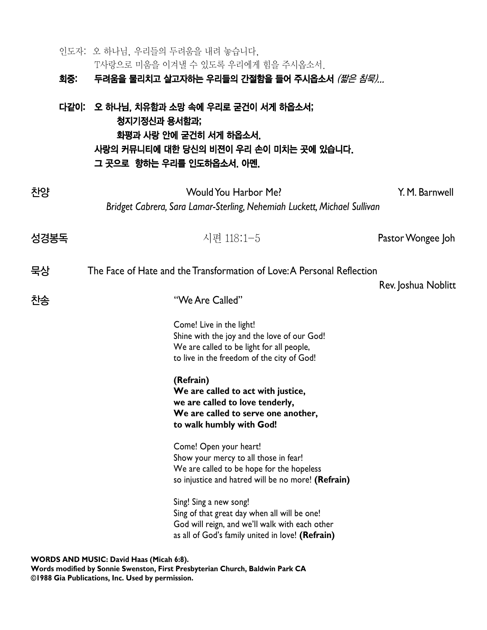|      | 인도자: 오 하나님, 우리들의 두려움을 내려 놓습니다.            | T사랑으로 미움을 이겨낼 수 있도록 우리에게 힘을 주시옵소서.                                                                                                                                           |                     |
|------|-------------------------------------------|------------------------------------------------------------------------------------------------------------------------------------------------------------------------------|---------------------|
|      |                                           | 회중: 두려움을 물리치고 살고자하는 우리들의 간절함을 들어 주시옵소서 <i>(짧은 침묵)</i>                                                                                                                        |                     |
|      | 청지기정신과 용서함과;<br>그 곳으로 향하는 우리를 인도하옵소서. 아멘. | 다같이: 오 하나님, 치유함과 소망 속에 우리로 굳건이 서게 하옵소서;<br>화평과 사랑 안에 굳건히 서게 하옵소서.<br>사랑의 커뮤니티에 대한 당신의 비젼이 우리 손이 미치는 곳에 있습니다.                                                                 |                     |
| 찬양   |                                           | <b>Would You Harbor Me?</b>                                                                                                                                                  | Y. M. Barnwell      |
|      |                                           | Bridget Cabrera, Sara Lamar-Sterling, Nehemiah Luckett, Michael Sullivan                                                                                                     |                     |
| 성경봉독 |                                           | 시편 118:1-5                                                                                                                                                                   | Pastor Wongee Joh   |
| 묵상   |                                           | The Face of Hate and the Transformation of Love: A Personal Reflection                                                                                                       |                     |
| 찬송   |                                           | "We Are Called"                                                                                                                                                              | Rev. Joshua Noblitt |
|      |                                           | Come! Live in the light!<br>Shine with the joy and the love of our God!<br>We are called to be light for all people,<br>to live in the freedom of the city of God!           |                     |
|      |                                           | (Refrain)<br>We are called to act with justice,<br>we are called to love tenderly,<br>We are called to serve one another,<br>to walk humbly with God!                        |                     |
|      |                                           | Come! Open your heart!<br>Show your mercy to all those in fear!<br>We are called to be hope for the hopeless<br>so injustice and hatred will be no more! (Refrain)           |                     |
|      |                                           | Sing! Sing a new song!<br>Sing of that great day when all will be one!<br>God will reign, and we'll walk with each other<br>as all of God's family united in love! (Refrain) |                     |
|      | WORDS AND MUSIC: David Haas (Micah 6:8).  |                                                                                                                                                                              |                     |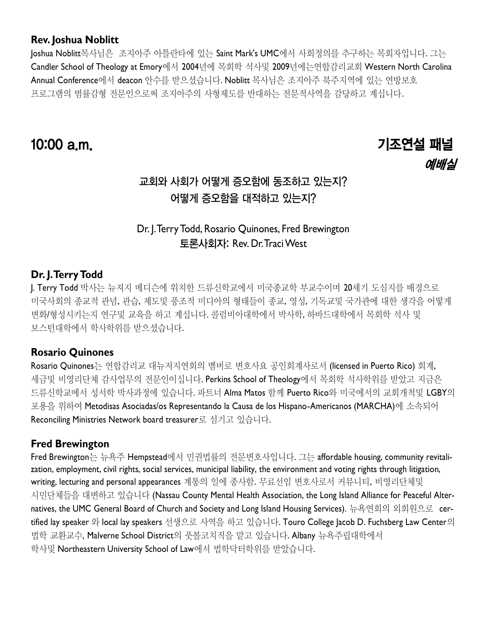#### **Rev. Joshua Noblitt**

Joshua Noblitt목사님은 조지아주 아틀란타에 있는 Saint Mark's UMC에서 사회정의를 추구하는 목회자입니다. 그는 Candler School of Theology at Emory에서 2004년에 목회학 석사및 2009년에는연합감리교회 Western North Carolina Annual Conference에서 deacon 안수를 받으셨습니다. Noblitt 목사님은 조지아주 북주지역에 있는 연방보호 프로그램의 범률감형 전문인으로써 조지아주의 사형제도를 반대하는 전문적사역을 감당하고 계십니다.

# 10:00 a.m. 기조연설 패널 예배실

## 교회와 사회가 어떻게 증오함에 동조하고 있는지? 어떻게 증오함을 대적하고 있는지?

### Dr. J. Terry Todd, Rosario Quinones, Fred Brewington 토론사회자: Rev. Dr. Traci West

#### **Dr. J. Terry Todd**

J. Terry Todd 박사는 뉴져지 메디슨에 위치한 드류신학교에서 미국종교학 부교수이며 20세기 도심지를 배경으로 미국사회의 종교적 관념, 관습, 제도및 풍조적 미디아의 형태들이 종교, 영성, 기독교및 국가관에 대한 생각을 어떻게 변화/형성시키는지 연구및 교육을 하고 계십니다. 콜럼비아대학에서 박사학, 하바드대학에서 목회학 석사 및 보스턴대학에서 학사학위를 받으셨습니다.

#### **Rosario Quinones**

Rosario Quinones는 연합감리교 대뉴저지연회의 멤버로 변호사요 공인회계사로서 (licensed in Puerto Rico) 회계, 세금및 비영리단체 감사업무의 전문인이십니다. Perkins School of Theology에서 목회학 석사학위를 받았고 지금은 드류신학교에서 성서학 박사과정에 있습니다. 파트너 Alma Matos 함께 Puerto Rico와 미국에서의 교회개척및 LGBY의 포용을 위하여 Metodisas Asociadas/os Representando la Causa de los Hispano-Americanos (MARCHA)에 소속되어 Reconciling Ministries Network board treasurer로 섬기고 있습니다.

#### **Fred Brewington**

Fred Brewington는 뉴욕주 Hempstead에서 민권법률의 전문변호사입니다. 그는 affordable housing, community revitalization, employment, civil rights, social services, municipal liability, the environment and voting rights through litigation, writing, lecturing and personal appearances 계통의 일에 종사함. 무료선임 변호사로서 커뮤니티, 비영리단체및 시민단체들을 대변하고 있습니다 (Nassau County Mental Health Association, the Long Island Alliance for Peaceful Alternatives, the UMC General Board of Church and Society and Long Island Housing Services). 뉴욕연회의 외회원으로 certified lay speaker 와 local lay speakers 선생으로 사역을 하고 있습니다. Touro College Jacob D. Fuchsberg Law Center의 법학 교환교수, Malverne School District의 풋볼코치직을 맡고 있습니다. Albany 뉴욕주립대학에서 학사및 Northeastern University School of Law에서 법학닥터학위를 받았습니다.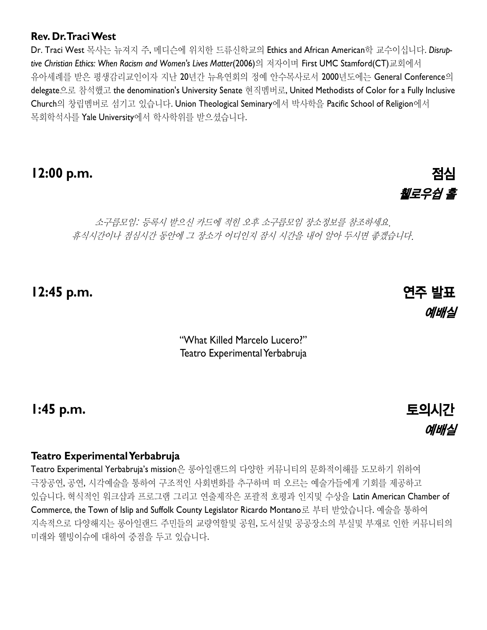#### **Rev. Dr. Traci West**

Dr. Traci West 목사는 뉴져지 주, 메디슨에 위치한 드류신학교의 Ethics and African American학 교수이십니다. *Disruptive Christian Ethics: When Racism and Women's Lives Matter*(2006)의 저자이며 First UMC Stamford(CT)교회에서 유아세례를 받은 평생감리교인이자 지난 20년간 뉴욕연회의 정예 안수목사로서 2000년도에는 General Conference의 delegate으로 참석했고 the denomination's University Senate 현직멤버로, United Methodists of Color for a Fully Inclusive Church의 창립멤버로 섬기고 있습니다. Union Theological Seminary에서 박사학을 Pacific School of Religion에서 목회학석사를 Yale University에서 학사학위를 받으셨습니다.

## **12:00 p.m.** 점심

# 휄로우쉽 홀

소구릅모임: 등록시 받으신 카드에 적힌 오후 소구릅모임 장소정보를 참조하세요. 휴식시간이나 점심시간 동안에 그 장소가 어디인지 잠시 시간을 내어 알아 두시면 좋겠습니다.

**12:45 p.m.** 연주 발표

"What Killed Marcelo Lucero?" Teatro Experimental Yerbabruja

**1:45 p.m.** 토의시간

#### **Teatro Experimental Yerbabruja**

Teatro Experimental Yerbabruja's mission은 롱아일랜드의 다양한 커뮤니티의 문화적이해를 도모하기 위하여 극장공연, 공연, 시각예술을 통하여 구조적인 사회변화를 추구하며 떠 오르는 예술가들에게 기회를 제공하고 있습니다. 혁식적인 워크샵과 프로그램 그리고 연출제작은 포괄적 호평과 인지및 수상을 Latin American Chamber of Commerce, the Town of Islip and Suffolk County Legislator Ricardo Montano로 부터 받았습니다. 예술을 통하여 지속적으로 다양해지는 롱아일랜드 주민들의 교량역할및 공원, 도서실및 공공장소의 부실및 부재로 인한 커뮤니티의 미래와 웰빙이슈에 대하여 중점을 두고 있습니다.



예배실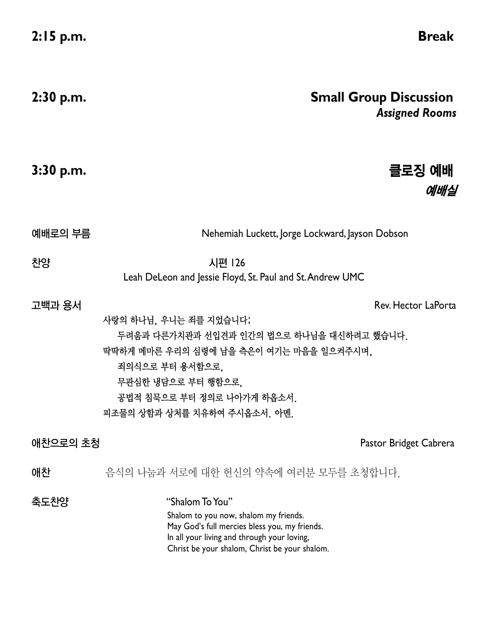| $2:30$ p.m. | <b>Small Group Discussion</b><br><b>Assigned Rooms</b>                                                                                                                                                                                       |
|-------------|----------------------------------------------------------------------------------------------------------------------------------------------------------------------------------------------------------------------------------------------|
| $3:30$ p.m. | 클로징 예배<br>예배실                                                                                                                                                                                                                                |
| 예배로의 부름     | Nehemiah Luckett, Jorge Lockward, Jayson Dobson                                                                                                                                                                                              |
| 찬양          | 시편 126<br>Leah DeLeon and Jessie Floyd, St. Paul and St. Andrew UMC                                                                                                                                                                          |
| 고백과 용서      | Rev. Hector LaPorta<br>사랑의 하나님, 우니는 죄를 지었습니다;<br>두려움과 다른가치관과 선입견과 인간의 법으로 하나님을 대신하려고 했습니다.<br>딱딱하게 메마른 우리의 심령에 남을 측은이 여기는 마음을 일으켜주시며,<br>죄의식으로 부터 용서함으로.<br>무관심한 냉담으로 부터 행함으로,<br>공법적 침묵으로 부터 정의로 나아가게 하옵소서.<br>피조물의 상함과 상처를 치유하여 주시옵소서. 아멘. |
| 애찬으로의 초청    | Pastor Bridget Cabrera                                                                                                                                                                                                                       |
| 애찬          | 음식의 나눔과 서로에 대한 헌신의 약속에 여러분 모두를 초청합니다.                                                                                                                                                                                                        |
| 축도찬양        | "Shalom To You"<br>Shalom to you now, shalom my friends.<br>May God's full mercies bless you, my friends.<br>In all your living and through your loving,<br>Christ be your shalom, Christ be your shalom.                                    |